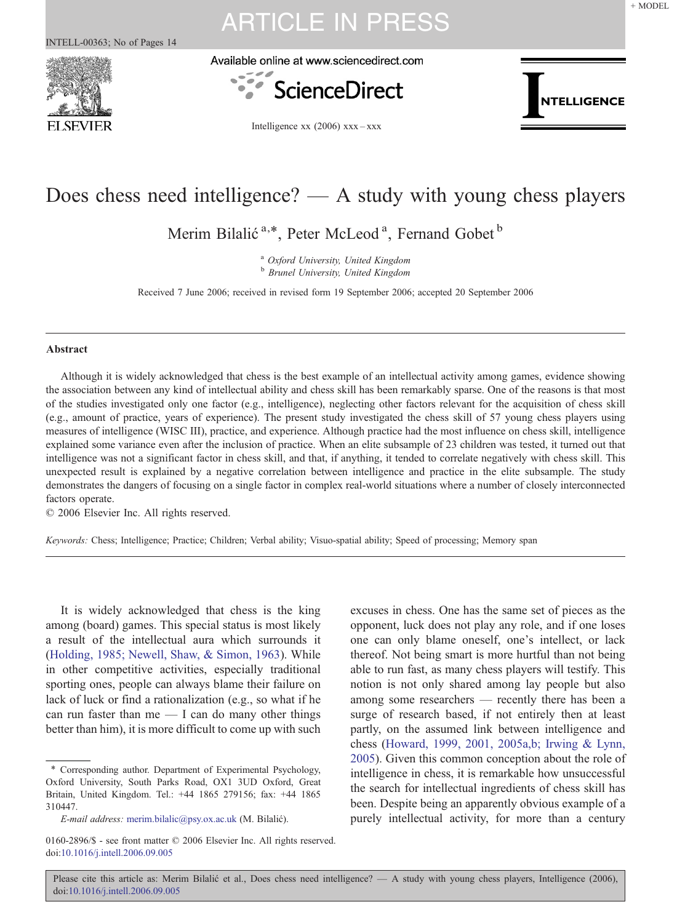

Available online at www.sciencedirect.com

ARTICLE IN PRESS



**NTELLIGENCE** 

# Does chess need intelligence? — A study with young chess players

Merim Bilalić<sup>a,\*</sup>, Peter McLeod<sup>a</sup>, Fernand Gobet<sup>b</sup>

<sup>a</sup> Oxford University, United Kingdom **b** Brunel University, United Kingdom

Received 7 June 2006; received in revised form 19 September 2006; accepted 20 September 2006

#### Abstract

Although it is widely acknowledged that chess is the best example of an intellectual activity among games, evidence showing the association between any kind of intellectual ability and chess skill has been remarkably sparse. One of the reasons is that most of the studies investigated only one factor (e.g., intelligence), neglecting other factors relevant for the acquisition of chess skill (e.g., amount of practice, years of experience). The present study investigated the chess skill of 57 young chess players using measures of intelligence (WISC III), practice, and experience. Although practice had the most influence on chess skill, intelligence explained some variance even after the inclusion of practice. When an elite subsample of 23 children was tested, it turned out that intelligence was not a significant factor in chess skill, and that, if anything, it tended to correlate negatively with chess skill. This unexpected result is explained by a negative correlation between intelligence and practice in the elite subsample. The study demonstrates the dangers of focusing on a single factor in complex real-world situations where a number of closely interconnected factors operate.

© 2006 Elsevier Inc. All rights reserved.

Keywords: Chess; Intelligence; Practice; Children; Verbal ability; Visuo-spatial ability; Speed of processing; Memory span

It is widely acknowledged that chess is the king among (board) games. This special status is most likely a result of the intellectual aura which surrounds it [\(Holding, 1985; Newell, Shaw, & Simon, 1963](#page-13-0)). While in other competitive activities, especially traditional sporting ones, people can always blame their failure on lack of luck or find a rationalization (e.g., so what if he can run faster than  $me - I$  can do many other things better than him), it is more difficult to come up with such

excuses in chess. One has the same set of pieces as the opponent, luck does not play any role, and if one loses one can only blame oneself, one's intellect, or lack thereof. Not being smart is more hurtful than not being able to run fast, as many chess players will testify. This notion is not only shared among lay people but also among some researchers — recently there has been a surge of research based, if not entirely then at least partly, on the assumed link between intelligence and chess [\(Howard, 1999, 2001, 2005a,b; Irwing & Lynn,](#page-13-0) [2005\)](#page-13-0). Given this common conception about the role of intelligence in chess, it is remarkable how unsuccessful the search for intellectual ingredients of chess skill has been. Despite being an apparently obvious example of a purely intellectual activity, for more than a century

<sup>⁎</sup> Corresponding author. Department of Experimental Psychology, Oxford University, South Parks Road, OX1 3UD Oxford, Great Britain, United Kingdom. Tel.: +44 1865 279156; fax: +44 1865 310447.

E-mail address: [merim.bilalic@psy.ox.ac.uk](mailto:merim.bilalic@psy.ox.ac.uk) (M. Bilalić).

<sup>0160-2896/\$ -</sup> see front matter © 2006 Elsevier Inc. All rights reserved. doi[:10.1016/j.intell.2006.09.005](http://dx.doi.org/10.1016/j.intell.2006.09.005)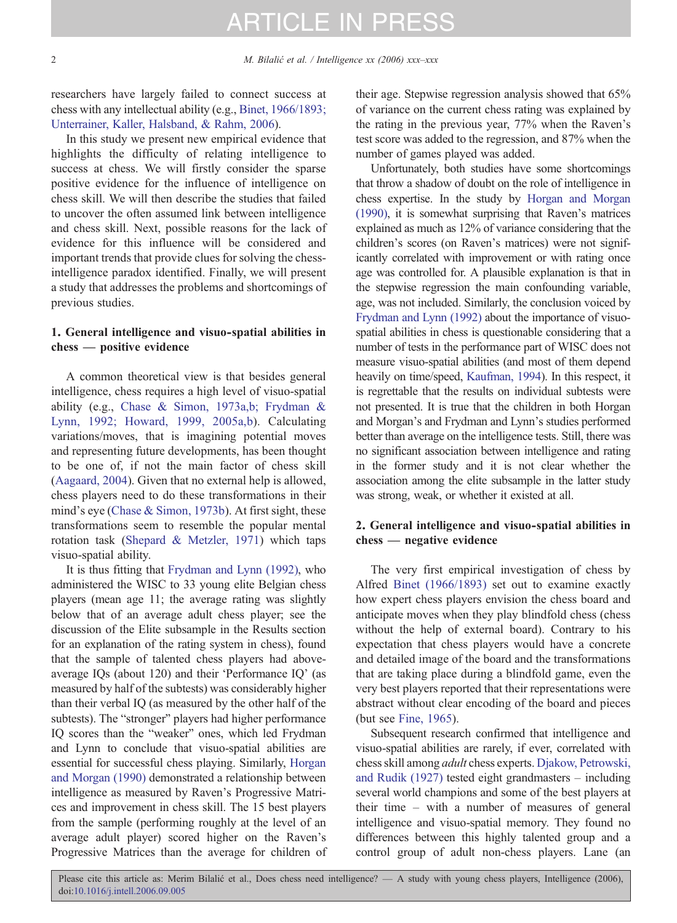researchers have largely failed to connect success at chess with any intellectual ability (e.g., [Binet, 1966/1893;](#page-12-0) [Unterrainer, Kaller, Halsband, & Rahm, 2006\)](#page-12-0).

In this study we present new empirical evidence that highlights the difficulty of relating intelligence to success at chess. We will firstly consider the sparse positive evidence for the influence of intelligence on chess skill. We will then describe the studies that failed to uncover the often assumed link between intelligence and chess skill. Next, possible reasons for the lack of evidence for this influence will be considered and important trends that provide clues for solving the chessintelligence paradox identified. Finally, we will present a study that addresses the problems and shortcomings of previous studies.

## 1. General intelligence and visuo-spatial abilities in chess — positive evidence

A common theoretical view is that besides general intelligence, chess requires a high level of visuo-spatial ability (e.g., [Chase & Simon, 1973a,b; Frydman &](#page-12-0) [Lynn, 1992; Howard, 1999, 2005a,b\)](#page-12-0). Calculating variations/moves, that is imagining potential moves and representing future developments, has been thought to be one of, if not the main factor of chess skill [\(Aagaard, 2004\)](#page-12-0). Given that no external help is allowed, chess players need to do these transformations in their mind's eye ([Chase & Simon, 1973b\)](#page-12-0). At first sight, these transformations seem to resemble the popular mental rotation task [\(Shepard & Metzler, 1971\)](#page-13-0) which taps visuo-spatial ability.

It is thus fitting that [Frydman and Lynn \(1992\),](#page-13-0) who administered the WISC to 33 young elite Belgian chess players (mean age 11; the average rating was slightly below that of an average adult chess player; see the discussion of the Elite subsample in the Results section for an explanation of the rating system in chess), found that the sample of talented chess players had aboveaverage IQs (about 120) and their 'Performance IQ' (as measured by half of the subtests) was considerably higher than their verbal IQ (as measured by the other half of the subtests). The "stronger" players had higher performance IQ scores than the "weaker" ones, which led Frydman and Lynn to conclude that visuo-spatial abilities are essential for successful chess playing. Similarly, [Horgan](#page-13-0) [and Morgan \(1990\)](#page-13-0) demonstrated a relationship between intelligence as measured by Raven's Progressive Matrices and improvement in chess skill. The 15 best players from the sample (performing roughly at the level of an average adult player) scored higher on the Raven's Progressive Matrices than the average for children of

their age. Stepwise regression analysis showed that 65% of variance on the current chess rating was explained by the rating in the previous year, 77% when the Raven's test score was added to the regression, and 87% when the number of games played was added.

Unfortunately, both studies have some shortcomings that throw a shadow of doubt on the role of intelligence in chess expertise. In the study by [Horgan and Morgan](#page-13-0) [\(1990\),](#page-13-0) it is somewhat surprising that Raven's matrices explained as much as 12% of variance considering that the children's scores (on Raven's matrices) were not significantly correlated with improvement or with rating once age was controlled for. A plausible explanation is that in the stepwise regression the main confounding variable, age, was not included. Similarly, the conclusion voiced by [Frydman and Lynn \(1992\)](#page-13-0) about the importance of visuospatial abilities in chess is questionable considering that a number of tests in the performance part of WISC does not measure visuo-spatial abilities (and most of them depend heavily on time/speed, [Kaufman, 1994](#page-13-0)). In this respect, it is regrettable that the results on individual subtests were not presented. It is true that the children in both Horgan and Morgan's and Frydman and Lynn's studies performed better than average on the intelligence tests. Still, there was no significant association between intelligence and rating in the former study and it is not clear whether the association among the elite subsample in the latter study was strong, weak, or whether it existed at all.

### 2. General intelligence and visuo-spatial abilities in chess — negative evidence

The very first empirical investigation of chess by Alfred [Binet \(1966/1893\)](#page-12-0) set out to examine exactly how expert chess players envision the chess board and anticipate moves when they play blindfold chess (chess without the help of external board). Contrary to his expectation that chess players would have a concrete and detailed image of the board and the transformations that are taking place during a blindfold game, even the very best players reported that their representations were abstract without clear encoding of the board and pieces (but see [Fine, 1965\)](#page-13-0).

Subsequent research confirmed that intelligence and visuo-spatial abilities are rarely, if ever, correlated with chess skill among adult chess experts. [Djakow, Petrowski,](#page-12-0) [and Rudik \(1927\)](#page-12-0) tested eight grandmasters – including several world champions and some of the best players at their time – with a number of measures of general intelligence and visuo-spatial memory. They found no differences between this highly talented group and a control group of adult non-chess players. Lane (an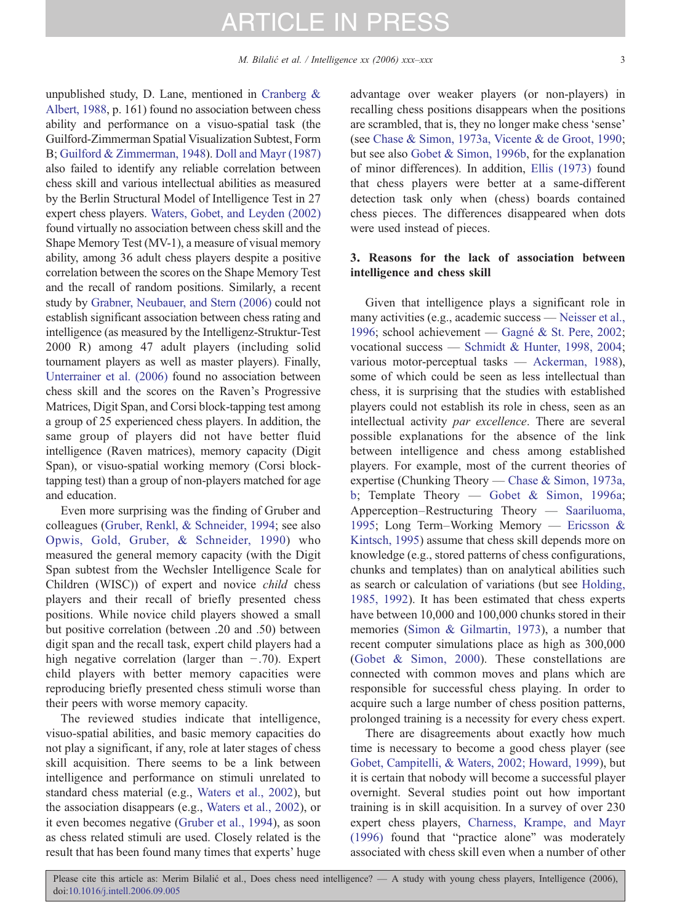unpublished study, D. Lane, mentioned in [Cranberg &](#page-12-0) [Albert, 1988,](#page-12-0) p. 161) found no association between chess ability and performance on a visuo-spatial task (the Guilford-Zimmerman Spatial Visualization Subtest, Form B; [Guilford & Zimmerman, 1948\)](#page-13-0). [Doll and Mayr \(1987\)](#page-12-0) also failed to identify any reliable correlation between chess skill and various intellectual abilities as measured by the Berlin Structural Model of Intelligence Test in 27 expert chess players. [Waters, Gobet, and Leyden \(2002\)](#page-13-0) found virtually no association between chess skill and the Shape Memory Test (MV-1), a measure of visual memory ability, among 36 adult chess players despite a positive correlation between the scores on the Shape Memory Test and the recall of random positions. Similarly, a recent study by [Grabner, Neubauer, and Stern \(2006\)](#page-13-0) could not establish significant association between chess rating and intelligence (as measured by the Intelligenz-Struktur-Test 2000 R) among 47 adult players (including solid tournament players as well as master players). Finally, [Unterrainer et al. \(2006\)](#page-13-0) found no association between chess skill and the scores on the Raven's Progressive Matrices, Digit Span, and Corsi block-tapping test among a group of 25 experienced chess players. In addition, the same group of players did not have better fluid intelligence (Raven matrices), memory capacity (Digit Span), or visuo-spatial working memory (Corsi blocktapping test) than a group of non-players matched for age and education.

Even more surprising was the finding of Gruber and colleagues ([Gruber, Renkl, & Schneider, 1994](#page-13-0); see also [Opwis, Gold, Gruber, & Schneider, 1990](#page-13-0)) who measured the general memory capacity (with the Digit Span subtest from the Wechsler Intelligence Scale for Children (WISC)) of expert and novice child chess players and their recall of briefly presented chess positions. While novice child players showed a small but positive correlation (between .20 and .50) between digit span and the recall task, expert child players had a high negative correlation (larger than −.70). Expert child players with better memory capacities were reproducing briefly presented chess stimuli worse than their peers with worse memory capacity.

The reviewed studies indicate that intelligence, visuo-spatial abilities, and basic memory capacities do not play a significant, if any, role at later stages of chess skill acquisition. There seems to be a link between intelligence and performance on stimuli unrelated to standard chess material (e.g., [Waters et al., 2002\)](#page-13-0), but the association disappears (e.g., [Waters et al., 2002](#page-13-0)), or it even becomes negative ([Gruber et al., 1994\)](#page-13-0), as soon as chess related stimuli are used. Closely related is the result that has been found many times that experts' huge

advantage over weaker players (or non-players) in recalling chess positions disappears when the positions are scrambled, that is, they no longer make chess 'sense' (see [Chase & Simon, 1973a, Vicente & de Groot, 1990](#page-12-0); but see also [Gobet & Simon, 1996b](#page-13-0), for the explanation of minor differences). In addition, [Ellis \(1973\)](#page-12-0) found that chess players were better at a same-different detection task only when (chess) boards contained chess pieces. The differences disappeared when dots were used instead of pieces.

# 3. Reasons for the lack of association between intelligence and chess skill

Given that intelligence plays a significant role in many activities (e.g., academic success — [Neisser et al.,](#page-13-0) [1996;](#page-13-0) school achievement — [Gagné & St. Pere, 2002](#page-13-0); vocational success — [Schmidt & Hunter, 1998, 2004](#page-13-0); various motor-perceptual tasks — [Ackerman, 1988](#page-12-0)), some of which could be seen as less intellectual than chess, it is surprising that the studies with established players could not establish its role in chess, seen as an intellectual activity par excellence. There are several possible explanations for the absence of the link between intelligence and chess among established players. For example, most of the current theories of expertise (Chunking Theory — [Chase & Simon, 1973a,](#page-12-0) [b](#page-12-0); Template Theory — [Gobet & Simon, 1996a](#page-13-0); Apperception–Restructuring Theory — [Saariluoma,](#page-13-0) [1995;](#page-13-0) Long Term–Working Memory — [Ericsson &](#page-13-0) [Kintsch, 1995\)](#page-13-0) assume that chess skill depends more on knowledge (e.g., stored patterns of chess configurations, chunks and templates) than on analytical abilities such as search or calculation of variations (but see [Holding,](#page-13-0) [1985, 1992](#page-13-0)). It has been estimated that chess experts have between 10,000 and 100,000 chunks stored in their memories [\(Simon & Gilmartin, 1973](#page-13-0)), a number that recent computer simulations place as high as 300,000 [\(Gobet & Simon, 2000](#page-13-0)). These constellations are connected with common moves and plans which are responsible for successful chess playing. In order to acquire such a large number of chess position patterns, prolonged training is a necessity for every chess expert.

There are disagreements about exactly how much time is necessary to become a good chess player (see [Gobet, Campitelli, & Waters, 2002; Howard, 1999](#page-13-0)), but it is certain that nobody will become a successful player overnight. Several studies point out how important training is in skill acquisition. In a survey of over 230 expert chess players, [Charness, Krampe, and Mayr](#page-12-0) [\(1996\)](#page-12-0) found that "practice alone" was moderately associated with chess skill even when a number of other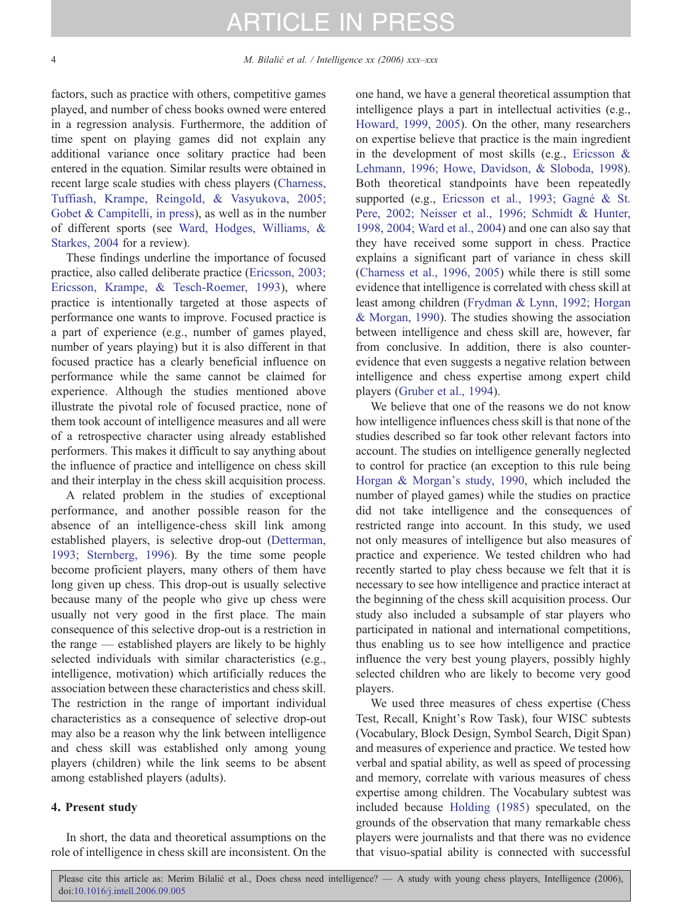factors, such as practice with others, competitive games played, and number of chess books owned were entered in a regression analysis. Furthermore, the addition of time spent on playing games did not explain any additional variance once solitary practice had been entered in the equation. Similar results were obtained in recent large scale studies with chess players ([Charness,](#page-12-0) [Tuffiash, Krampe, Reingold, & Vasyukova, 2005;](#page-12-0) [Gobet & Campitelli, in press](#page-12-0)), as well as in the number of different sports (see [Ward, Hodges, Williams, &](#page-13-0) [Starkes, 2004](#page-13-0) for a review).

These findings underline the importance of focused practice, also called deliberate practice ([Ericsson, 2003;](#page-13-0) [Ericsson, Krampe, & Tesch-Roemer, 1993\)](#page-13-0), where practice is intentionally targeted at those aspects of performance one wants to improve. Focused practice is a part of experience (e.g., number of games played, number of years playing) but it is also different in that focused practice has a clearly beneficial influence on performance while the same cannot be claimed for experience. Although the studies mentioned above illustrate the pivotal role of focused practice, none of them took account of intelligence measures and all were of a retrospective character using already established performers. This makes it difficult to say anything about the influence of practice and intelligence on chess skill and their interplay in the chess skill acquisition process.

A related problem in the studies of exceptional performance, and another possible reason for the absence of an intelligence-chess skill link among established players, is selective drop-out [\(Detterman,](#page-12-0) [1993; Sternberg, 1996\)](#page-12-0). By the time some people become proficient players, many others of them have long given up chess. This drop-out is usually selective because many of the people who give up chess were usually not very good in the first place. The main consequence of this selective drop-out is a restriction in the range — established players are likely to be highly selected individuals with similar characteristics (e.g., intelligence, motivation) which artificially reduces the association between these characteristics and chess skill. The restriction in the range of important individual characteristics as a consequence of selective drop-out may also be a reason why the link between intelligence and chess skill was established only among young players (children) while the link seems to be absent among established players (adults).

## 4. Present study

In short, the data and theoretical assumptions on the role of intelligence in chess skill are inconsistent. On the

one hand, we have a general theoretical assumption that intelligence plays a part in intellectual activities (e.g., [Howard, 1999, 2005](#page-13-0)). On the other, many researchers on expertise believe that practice is the main ingredient in the development of most skills (e.g., [Ericsson &](#page-13-0) [Lehmann, 1996; Howe, Davidson, & Sloboda, 1998\)](#page-13-0). Both theoretical standpoints have been repeatedly supported (e.g., [Ericsson et al., 1993; Gagné & St.](#page-13-0) [Pere, 2002; Neisser et al., 1996; Schmidt & Hunter,](#page-13-0) [1998, 2004; Ward et al., 2004\)](#page-13-0) and one can also say that they have received some support in chess. Practice explains a significant part of variance in chess skill [\(Charness et al., 1996, 2005](#page-12-0)) while there is still some evidence that intelligence is correlated with chess skill at least among children [\(Frydman & Lynn, 1992; Horgan](#page-13-0) [& Morgan, 1990\)](#page-13-0). The studies showing the association between intelligence and chess skill are, however, far from conclusive. In addition, there is also counterevidence that even suggests a negative relation between intelligence and chess expertise among expert child players ([Gruber et al., 1994\)](#page-13-0).

We believe that one of the reasons we do not know how intelligence influences chess skill is that none of the studies described so far took other relevant factors into account. The studies on intelligence generally neglected to control for practice (an exception to this rule being [Horgan & Morgan's study, 1990,](#page-13-0) which included the number of played games) while the studies on practice did not take intelligence and the consequences of restricted range into account. In this study, we used not only measures of intelligence but also measures of practice and experience. We tested children who had recently started to play chess because we felt that it is necessary to see how intelligence and practice interact at the beginning of the chess skill acquisition process. Our study also included a subsample of star players who participated in national and international competitions, thus enabling us to see how intelligence and practice influence the very best young players, possibly highly selected children who are likely to become very good players.

We used three measures of chess expertise (Chess Test, Recall, Knight's Row Task), four WISC subtests (Vocabulary, Block Design, Symbol Search, Digit Span) and measures of experience and practice. We tested how verbal and spatial ability, as well as speed of processing and memory, correlate with various measures of chess expertise among children. The Vocabulary subtest was included because [Holding \(1985\)](#page-13-0) speculated, on the grounds of the observation that many remarkable chess players were journalists and that there was no evidence that visuo-spatial ability is connected with successful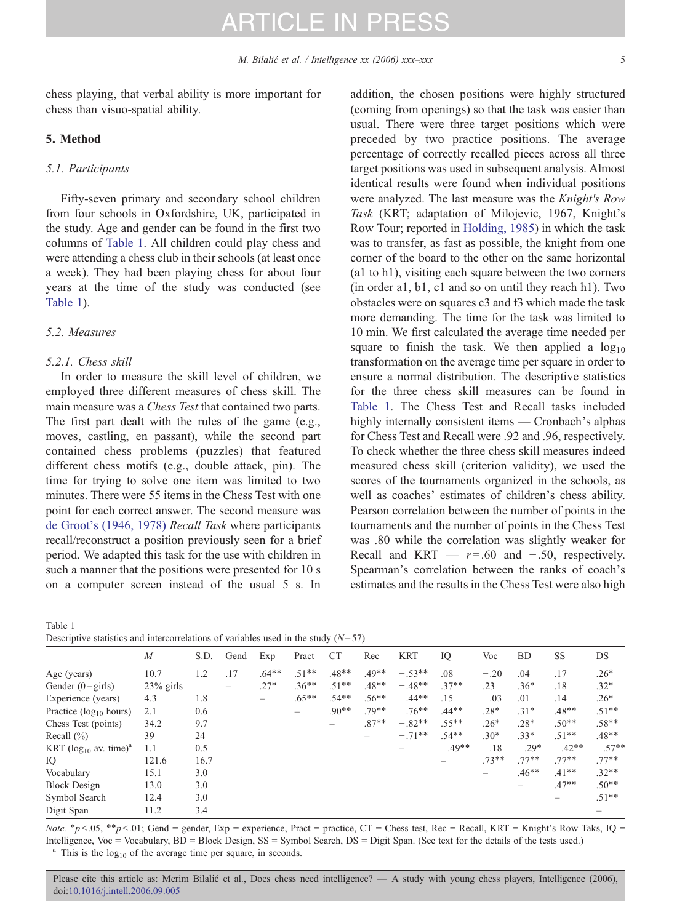<span id="page-4-0"></span>chess playing, that verbal ability is more important for chess than visuo-spatial ability.

## 5. Method

#### 5.1. Participants

Fifty-seven primary and secondary school children from four schools in Oxfordshire, UK, participated in the study. Age and gender can be found in the first two columns of Table 1. All children could play chess and were attending a chess club in their schools (at least once a week). They had been playing chess for about four years at the time of the study was conducted (see Table 1).

### 5.2. Measures

 $T = 1.1 - 1$ 

#### 5.2.1. Chess skill

In order to measure the skill level of children, we employed three different measures of chess skill. The main measure was a Chess Test that contained two parts. The first part dealt with the rules of the game (e.g., moves, castling, en passant), while the second part contained chess problems (puzzles) that featured different chess motifs (e.g., double attack, pin). The time for trying to solve one item was limited to two minutes. There were 55 items in the Chess Test with one point for each correct answer. The second measure was [de Groot's \(1946, 1978\)](#page-12-0) Recall Task where participants recall/reconstruct a position previously seen for a brief period. We adapted this task for the use with children in such a manner that the positions were presented for 10 s on a computer screen instead of the usual 5 s. In

| rabie i |                                                                                      |  |  |
|---------|--------------------------------------------------------------------------------------|--|--|
|         | Descriptive statistics and intercorrelations of variables used in the study $(N=57)$ |  |  |

| addition, the chosen positions were highly structured      |
|------------------------------------------------------------|
| (coming from openings) so that the task was easier than    |
| usual. There were three target positions which were        |
| preceded by two practice positions. The average            |
| percentage of correctly recalled pieces across all three   |
| target positions was used in subsequent analysis. Almost   |
| identical results were found when individual positions     |
| were analyzed. The last measure was the Knight's Row       |
| Task (KRT; adaptation of Milojevic, 1967, Knight's         |
| Row Tour; reported in Holding, 1985) in which the task     |
| was to transfer, as fast as possible, the knight from one  |
| corner of the board to the other on the same horizontal    |
| (a1 to h1), visiting each square between the two corners   |
| (in order a1, b1, c1 and so on until they reach h1). Two   |
| obstacles were on squares c3 and f3 which made the task    |
| more demanding. The time for the task was limited to       |
| 10 min. We first calculated the average time needed per    |
| square to finish the task. We then applied a $log_{10}$    |
| transformation on the average time per square in order to  |
| ensure a normal distribution. The descriptive statistics   |
| for the three chess skill measures can be found in         |
| Table 1. The Chess Test and Recall tasks included          |
| highly internally consistent items — Cronbach's alphas     |
| for Chess Test and Recall were .92 and .96, respectively.  |
| To check whether the three chess skill measures indeed     |
| measured chess skill (criterion validity), we used the     |
| scores of the tournaments organized in the schools, as     |
| well as coaches' estimates of children's chess ability.    |
| Pearson correlation between the number of points in the    |
| tournaments and the number of points in the Chess Test     |
| was .80 while the correlation was slightly weaker for      |
| Recall and KRT $- r = .60$ and $-.50$ , respectively.      |
| Spearman's correlation between the ranks of coach's        |
| estimates and the results in the Chess Test were also high |

|                                        | $\boldsymbol{M}$ | S.D. | Gend                     | Exp      | Pract   | <b>CT</b>                | Rec     | <b>KRT</b> | IQ       | Voc                                                                       | BD      | <b>SS</b> | DS       |
|----------------------------------------|------------------|------|--------------------------|----------|---------|--------------------------|---------|------------|----------|---------------------------------------------------------------------------|---------|-----------|----------|
| Age (years)                            | 10.7             | 1.2  | .17                      | $.64***$ | $.51**$ | $.48**$                  | $.49**$ | $-.53**$   | .08      | $-.20$                                                                    | .04     | .17       | $.26*$   |
| Gender $(0 = girls)$                   | $23\%$ girls     |      | $\overline{\phantom{0}}$ | $.27*$   | $.36**$ | $.51**$                  | $.48**$ | $-.48**$   | $.37**$  | .23                                                                       | $.36*$  | .18       | $.32*$   |
| Experience (years)                     | 4.3              | 1.8  |                          | -        | $.65**$ | $.54**$                  | $.56**$ | $-.44**$   | .15      | $-.03$                                                                    | .01     | .14       | $.26*$   |
| Practice (log <sub>10</sub> hours)     | 2.1              | 0.6  |                          |          |         | $.90**$                  | $.79**$ | $-.76**$   | $.44**$  | $.28*$                                                                    | $.31*$  | $.48**$   | $.51**$  |
| Chess Test (points)                    | 34.2             | 9.7  |                          |          |         | $\overline{\phantom{a}}$ | $.87**$ | $-.82**$   | $.55**$  | $.26*$                                                                    | $.28*$  | $.50**$   | $.58**$  |
| Recall $(\% )$                         | 39               | 24   |                          |          |         |                          |         | $-.71***$  | $.54***$ | $.30*$                                                                    | $.33*$  | $.51**$   | $.48**$  |
| KRT $(log_{10}$ av. time) <sup>a</sup> | 1.1              | 0.5  |                          |          |         |                          |         |            | $-.49**$ | $-.18$                                                                    | $-.29*$ | $-.42**$  | $-.57**$ |
| IO                                     | 121.6            | 16.7 |                          |          |         |                          |         |            |          | $.73**$                                                                   | $.77**$ | $77**$    | $.77**$  |
| Vocabulary                             | 15.1             | 3.0  |                          |          |         |                          |         |            |          | $\hspace{1.0cm} \rule{1.5cm}{0.15cm} \hspace{1.0cm} \rule{1.5cm}{0.15cm}$ | $.46**$ | $.41**$   | $.32**$  |
| <b>Block Design</b>                    | 13.0             | 3.0  |                          |          |         |                          |         |            |          |                                                                           |         | $.47**$   | $.50**$  |
| Symbol Search                          | 12.4             | 3.0  |                          |          |         |                          |         |            |          |                                                                           |         |           | $.51**$  |
| Digit Span                             | 11.2             | 3.4  |                          |          |         |                          |         |            |          |                                                                           |         |           |          |

Note.  $*_p$ <.05,  $*_p$ <.01; Gend = gender, Exp = experience, Pract = practice, CT = Chess test, Rec = Recall, KRT = Knight's Row Taks, IQ = Intelligence, Voc = Vocabulary, BD = Block Design, SS = Symbol Search, DS = Digit Span. (See text for the details of the tests used.) <sup>a</sup> This is the  $log_{10}$  of the average time per square, in seconds.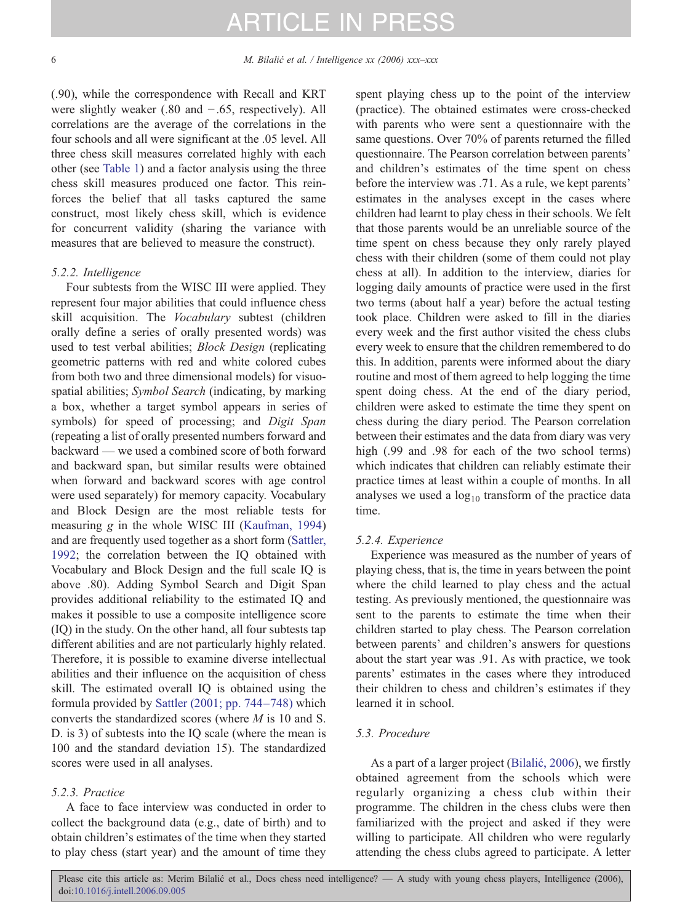(.90), while the correspondence with Recall and KRT were slightly weaker (.80 and −.65, respectively). All correlations are the average of the correlations in the four schools and all were significant at the .05 level. All three chess skill measures correlated highly with each other (see [Table 1\)](#page-4-0) and a factor analysis using the three chess skill measures produced one factor. This reinforces the belief that all tasks captured the same construct, most likely chess skill, which is evidence for concurrent validity (sharing the variance with measures that are believed to measure the construct).

#### 5.2.2. Intelligence

Four subtests from the WISC III were applied. They represent four major abilities that could influence chess skill acquisition. The Vocabulary subtest (children orally define a series of orally presented words) was used to test verbal abilities; Block Design (replicating geometric patterns with red and white colored cubes from both two and three dimensional models) for visuospatial abilities; Symbol Search (indicating, by marking a box, whether a target symbol appears in series of symbols) for speed of processing; and *Digit Span* (repeating a list of orally presented numbers forward and backward — we used a combined score of both forward and backward span, but similar results were obtained when forward and backward scores with age control were used separately) for memory capacity. Vocabulary and Block Design are the most reliable tests for measuring g in the whole WISC III ([Kaufman, 1994](#page-13-0)) and are frequently used together as a short form ([Sattler,](#page-13-0) [1992](#page-13-0); the correlation between the IQ obtained with Vocabulary and Block Design and the full scale IQ is above .80). Adding Symbol Search and Digit Span provides additional reliability to the estimated IQ and makes it possible to use a composite intelligence score (IQ) in the study. On the other hand, all four subtests tap different abilities and are not particularly highly related. Therefore, it is possible to examine diverse intellectual abilities and their influence on the acquisition of chess skill. The estimated overall IQ is obtained using the formula provided by [Sattler \(2001; pp. 744](#page-13-0)–748) which converts the standardized scores (where M is 10 and S. D. is 3) of subtests into the IQ scale (where the mean is 100 and the standard deviation 15). The standardized scores were used in all analyses.

### 5.2.3. Practice

A face to face interview was conducted in order to collect the background data (e.g., date of birth) and to obtain children's estimates of the time when they started to play chess (start year) and the amount of time they

spent playing chess up to the point of the interview (practice). The obtained estimates were cross-checked with parents who were sent a questionnaire with the same questions. Over 70% of parents returned the filled questionnaire. The Pearson correlation between parents' and children's estimates of the time spent on chess before the interview was .71. As a rule, we kept parents' estimates in the analyses except in the cases where children had learnt to play chess in their schools. We felt that those parents would be an unreliable source of the time spent on chess because they only rarely played chess with their children (some of them could not play chess at all). In addition to the interview, diaries for logging daily amounts of practice were used in the first two terms (about half a year) before the actual testing took place. Children were asked to fill in the diaries every week and the first author visited the chess clubs every week to ensure that the children remembered to do this. In addition, parents were informed about the diary routine and most of them agreed to help logging the time spent doing chess. At the end of the diary period, children were asked to estimate the time they spent on chess during the diary period. The Pearson correlation between their estimates and the data from diary was very high (.99 and .98 for each of the two school terms) which indicates that children can reliably estimate their practice times at least within a couple of months. In all analyses we used a  $log_{10}$  transform of the practice data time.

### 5.2.4. Experience

Experience was measured as the number of years of playing chess, that is, the time in years between the point where the child learned to play chess and the actual testing. As previously mentioned, the questionnaire was sent to the parents to estimate the time when their children started to play chess. The Pearson correlation between parents' and children's answers for questions about the start year was .91. As with practice, we took parents' estimates in the cases where they introduced their children to chess and children's estimates if they learned it in school.

### 5.3. Procedure

As a part of a larger project (Bilalić[, 2006](#page-12-0)), we firstly obtained agreement from the schools which were regularly organizing a chess club within their programme. The children in the chess clubs were then familiarized with the project and asked if they were willing to participate. All children who were regularly attending the chess clubs agreed to participate. A letter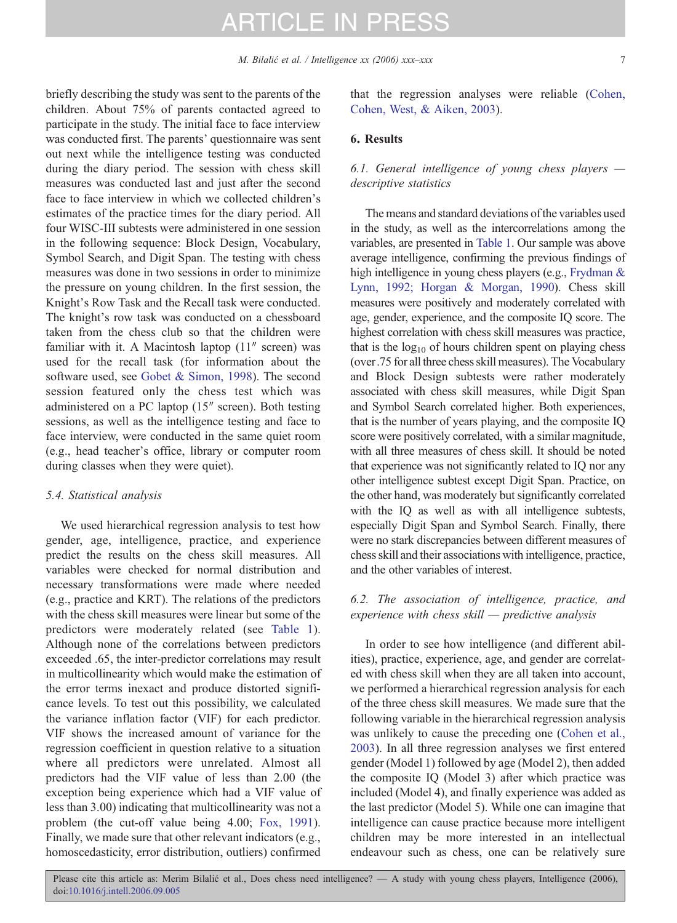briefly describing the study was sent to the parents of the children. About 75% of parents contacted agreed to participate in the study. The initial face to face interview was conducted first. The parents' questionnaire was sent out next while the intelligence testing was conducted during the diary period. The session with chess skill measures was conducted last and just after the second face to face interview in which we collected children's estimates of the practice times for the diary period. All four WISC-III subtests were administered in one session in the following sequence: Block Design, Vocabulary, Symbol Search, and Digit Span. The testing with chess measures was done in two sessions in order to minimize the pressure on young children. In the first session, the Knight's Row Task and the Recall task were conducted. The knight's row task was conducted on a chessboard taken from the chess club so that the children were familiar with it. A Macintosh laptop (11″ screen) was used for the recall task (for information about the software used, see [Gobet & Simon, 1998](#page-13-0)). The second session featured only the chess test which was administered on a PC laptop (15″ screen). Both testing sessions, as well as the intelligence testing and face to face interview, were conducted in the same quiet room (e.g., head teacher's office, library or computer room during classes when they were quiet).

### 5.4. Statistical analysis

We used hierarchical regression analysis to test how gender, age, intelligence, practice, and experience predict the results on the chess skill measures. All variables were checked for normal distribution and necessary transformations were made where needed (e.g., practice and KRT). The relations of the predictors with the chess skill measures were linear but some of the predictors were moderately related (see [Table 1](#page-4-0)). Although none of the correlations between predictors exceeded .65, the inter-predictor correlations may result in multicollinearity which would make the estimation of the error terms inexact and produce distorted significance levels. To test out this possibility, we calculated the variance inflation factor (VIF) for each predictor. VIF shows the increased amount of variance for the regression coefficient in question relative to a situation where all predictors were unrelated. Almost all predictors had the VIF value of less than 2.00 (the exception being experience which had a VIF value of less than 3.00) indicating that multicollinearity was not a problem (the cut-off value being 4.00; [Fox, 1991](#page-13-0)). Finally, we made sure that other relevant indicators (e.g., homoscedasticity, error distribution, outliers) confirmed

that the regression analyses were reliable [\(Cohen,](#page-12-0) [Cohen, West, & Aiken, 2003\)](#page-12-0).

### 6. Results

# 6.1. General intelligence of young chess players descriptive statistics

The means and standard deviations of the variables used in the study, as well as the intercorrelations among the variables, are presented in [Table 1](#page-4-0). Our sample was above average intelligence, confirming the previous findings of high intelligence in young chess players (e.g., [Frydman &](#page-13-0) [Lynn, 1992; Horgan & Morgan, 1990\)](#page-13-0). Chess skill measures were positively and moderately correlated with age, gender, experience, and the composite IQ score. The highest correlation with chess skill measures was practice, that is the  $log_{10}$  of hours children spent on playing chess (over.75 for all three chess skill measures). The Vocabulary and Block Design subtests were rather moderately associated with chess skill measures, while Digit Span and Symbol Search correlated higher. Both experiences, that is the number of years playing, and the composite IQ score were positively correlated, with a similar magnitude, with all three measures of chess skill. It should be noted that experience was not significantly related to IQ nor any other intelligence subtest except Digit Span. Practice, on the other hand, was moderately but significantly correlated with the IQ as well as with all intelligence subtests, especially Digit Span and Symbol Search. Finally, there were no stark discrepancies between different measures of chess skill and their associations with intelligence, practice, and the other variables of interest.

# 6.2. The association of intelligence, practice, and experience with chess skill  $-$  predictive analysis

In order to see how intelligence (and different abilities), practice, experience, age, and gender are correlated with chess skill when they are all taken into account, we performed a hierarchical regression analysis for each of the three chess skill measures. We made sure that the following variable in the hierarchical regression analysis was unlikely to cause the preceding one [\(Cohen et al.,](#page-12-0) [2003\)](#page-12-0). In all three regression analyses we first entered gender (Model 1) followed by age (Model 2), then added the composite IQ (Model 3) after which practice was included (Model 4), and finally experience was added as the last predictor (Model 5). While one can imagine that intelligence can cause practice because more intelligent children may be more interested in an intellectual endeavour such as chess, one can be relatively sure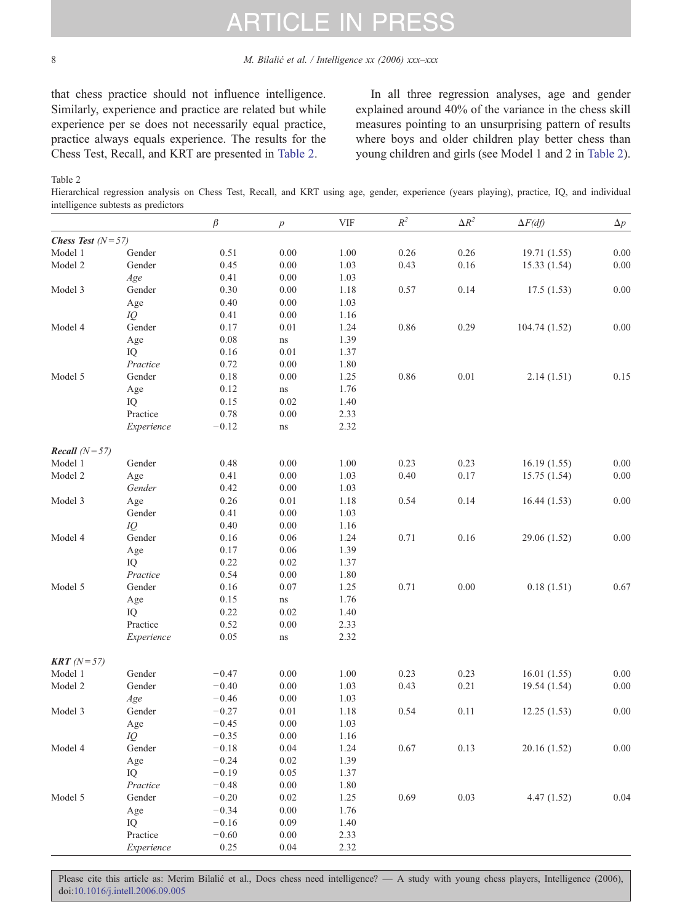<span id="page-7-0"></span>8 M. Bilalić et al. / Intelligence xx (2006) xxx-xxx

that chess practice should not influence intelligence. Similarly, experience and practice are related but while experience per se does not necessarily equal practice, practice always equals experience. The results for the Chess Test, Recall, and KRT are presented in Table 2.

In all three regression analyses, age and gender explained around 40% of the variance in the chess skill measures pointing to an unsurprising pattern of results where boys and older children play better chess than young children and girls (see Model 1 and 2 in Table 2).

Table 2

Hierarchical regression analysis on Chess Test, Recall, and KRT using age, gender, experience (years playing), practice, IQ, and individual intelligence subtests as predictors

|                        |            | $\beta$  | $\boldsymbol{p}$ | <b>VIF</b> | $R^2$ | $\Delta R^2$ | $\Delta F(df)$ | $\Delta p$ |
|------------------------|------------|----------|------------------|------------|-------|--------------|----------------|------------|
| Chess Test $(N=57)$    |            |          |                  |            |       |              |                |            |
| Model 1                | Gender     | 0.51     | 0.00             | 1.00       | 0.26  | 0.26         | 19.71 (1.55)   | 0.00       |
| Model 2                | Gender     | 0.45     | 0.00             | 1.03       | 0.43  | 0.16         | 15.33 (1.54)   | 0.00       |
|                        | Age        | 0.41     | 0.00             | 1.03       |       |              |                |            |
| Model 3                | Gender     | 0.30     | 0.00             | 1.18       | 0.57  | 0.14         | 17.5(1.53)     | 0.00       |
|                        | Age        | 0.40     | 0.00             | 1.03       |       |              |                |            |
|                        | IQ         | 0.41     | 0.00             | 1.16       |       |              |                |            |
| Model 4                | Gender     | 0.17     | 0.01             | 1.24       | 0.86  | 0.29         | 104.74 (1.52)  | 0.00       |
|                        | Age        | $0.08\,$ | $\rm ns$         | 1.39       |       |              |                |            |
|                        | IQ         | 0.16     | 0.01             | 1.37       |       |              |                |            |
|                        | Practice   | 0.72     | 0.00             | 1.80       |       |              |                |            |
| Model 5                | Gender     | 0.18     | 0.00             | 1.25       | 0.86  | 0.01         | 2.14(1.51)     | 0.15       |
|                        | Age        | 0.12     | $\rm ns$         | 1.76       |       |              |                |            |
|                        | IQ         | 0.15     | 0.02             | 1.40       |       |              |                |            |
|                        | Practice   | 0.78     | 0.00             | 2.33       |       |              |                |            |
|                        | Experience | $-0.12$  | $\rm ns$         | 2.32       |       |              |                |            |
|                        |            |          |                  |            |       |              |                |            |
| <i>Recall</i> $(N=57)$ |            |          |                  |            |       |              |                |            |
| Model 1                | Gender     | 0.48     | 0.00             | 1.00       | 0.23  | 0.23         | 16.19(1.55)    | 0.00       |
| Model 2                | Age        | 0.41     | 0.00             | 1.03       | 0.40  | 0.17         | 15.75 (1.54)   | 0.00       |
|                        | Gender     | 0.42     | 0.00             | 1.03       |       |              |                |            |
| Model 3                | Age        | 0.26     | 0.01             | 1.18       | 0.54  | 0.14         | 16.44(1.53)    | 0.00       |
|                        | Gender     | 0.41     | 0.00             | 1.03       |       |              |                |            |
|                        | IQ         | 0.40     | 0.00             | 1.16       |       |              |                |            |
| Model 4                | Gender     | 0.16     | 0.06             | 1.24       | 0.71  | 0.16         | 29.06 (1.52)   | 0.00       |
|                        | Age        | 0.17     | 0.06             | 1.39       |       |              |                |            |
|                        | IQ         | 0.22     | 0.02             | 1.37       |       |              |                |            |
|                        | Practice   | 0.54     | 0.00             | 1.80       |       |              |                |            |
| Model 5                | Gender     | 0.16     | 0.07             | 1.25       | 0.71  | 0.00         | 0.18(1.51)     | 0.67       |
|                        | Age        | 0.15     | $\rm ns$         | 1.76       |       |              |                |            |
|                        | IQ         | 0.22     | 0.02             | 1.40       |       |              |                |            |
|                        | Practice   | 0.52     | 0.00             | 2.33       |       |              |                |            |
|                        | Experience | 0.05     | ns               | 2.32       |       |              |                |            |
| $KRT$ ( $N=57$ )       |            |          |                  |            |       |              |                |            |
| Model 1                | Gender     | $-0.47$  | 0.00             | 1.00       | 0.23  | 0.23         | 16.01(1.55)    | 0.00       |
| Model 2                | Gender     | $-0.40$  | 0.00             | 1.03       | 0.43  | 0.21         | 19.54 (1.54)   | 0.00       |
|                        | Age        | $-0.46$  | 0.00             | 1.03       |       |              |                |            |
| Model 3                | Gender     | $-0.27$  | 0.01             | 1.18       | 0.54  | 0.11         | 12.25(1.53)    | 0.00       |
|                        | Age        | $-0.45$  | 0.00             | 1.03       |       |              |                |            |
|                        | IQ         | $-0.35$  | 0.00             | 1.16       |       |              |                |            |
| Model 4                | Gender     | $-0.18$  | 0.04             | 1.24       | 0.67  | 0.13         | 20.16 (1.52)   | 0.00       |
|                        | Age        | $-0.24$  | 0.02             | 1.39       |       |              |                |            |
|                        | IQ         | $-0.19$  | 0.05             | 1.37       |       |              |                |            |
|                        | Practice   | $-0.48$  | 0.00             | 1.80       |       |              |                |            |
| Model 5                | Gender     | $-0.20$  | 0.02             | 1.25       | 0.69  | 0.03         | 4.47 (1.52)    | 0.04       |
|                        | Age        | $-0.34$  | 0.00             | 1.76       |       |              |                |            |
|                        | IQ         | $-0.16$  | 0.09             | 1.40       |       |              |                |            |
|                        | Practice   | $-0.60$  | 0.00             | 2.33       |       |              |                |            |
|                        | Experience | 0.25     | 0.04             | 2.32       |       |              |                |            |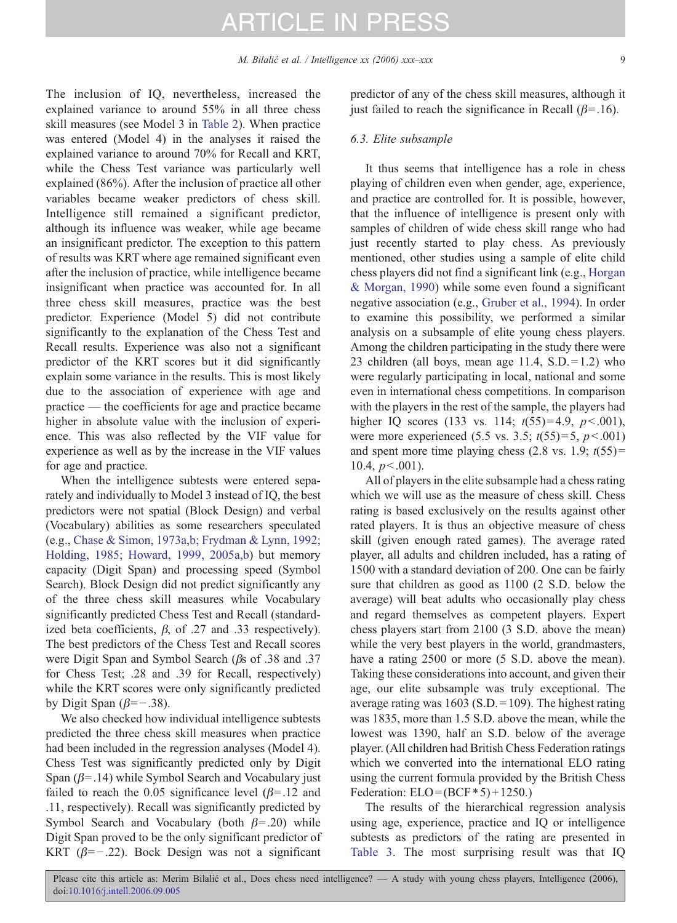The inclusion of IQ, nevertheless, increased the explained variance to around 55% in all three chess skill measures (see Model 3 in [Table 2\)](#page-7-0). When practice was entered (Model 4) in the analyses it raised the explained variance to around 70% for Recall and KRT, while the Chess Test variance was particularly well explained (86%). After the inclusion of practice all other variables became weaker predictors of chess skill. Intelligence still remained a significant predictor, although its influence was weaker, while age became an insignificant predictor. The exception to this pattern of results was KRT where age remained significant even after the inclusion of practice, while intelligence became insignificant when practice was accounted for. In all three chess skill measures, practice was the best predictor. Experience (Model 5) did not contribute significantly to the explanation of the Chess Test and Recall results. Experience was also not a significant predictor of the KRT scores but it did significantly explain some variance in the results. This is most likely due to the association of experience with age and practice — the coefficients for age and practice became higher in absolute value with the inclusion of experience. This was also reflected by the VIF value for experience as well as by the increase in the VIF values for age and practice.

When the intelligence subtests were entered separately and individually to Model 3 instead of IQ, the best predictors were not spatial (Block Design) and verbal (Vocabulary) abilities as some researchers speculated (e.g., [Chase & Simon, 1973a,b; Frydman & Lynn, 1992;](#page-12-0) [Holding, 1985; Howard, 1999, 2005a,b\)](#page-12-0) but memory capacity (Digit Span) and processing speed (Symbol Search). Block Design did not predict significantly any of the three chess skill measures while Vocabulary significantly predicted Chess Test and Recall (standardized beta coefficients,  $\beta$ , of .27 and .33 respectively). The best predictors of the Chess Test and Recall scores were Digit Span and Symbol Search (βs of .38 and .37 for Chess Test; .28 and .39 for Recall, respectively) while the KRT scores were only significantly predicted by Digit Span ( $\beta$ =−.38).

We also checked how individual intelligence subtests predicted the three chess skill measures when practice had been included in the regression analyses (Model 4). Chess Test was significantly predicted only by Digit Span  $(\beta = .14)$  while Symbol Search and Vocabulary just failed to reach the 0.05 significance level ( $\beta$ =.12 and .11, respectively). Recall was significantly predicted by Symbol Search and Vocabulary (both  $\beta$ =.20) while Digit Span proved to be the only significant predictor of KRT ( $\beta$ =−.22). Bock Design was not a significant predictor of any of the chess skill measures, although it just failed to reach the significance in Recall ( $\beta$ =.16).

#### 6.3. Elite subsample

It thus seems that intelligence has a role in chess playing of children even when gender, age, experience, and practice are controlled for. It is possible, however, that the influence of intelligence is present only with samples of children of wide chess skill range who had just recently started to play chess. As previously mentioned, other studies using a sample of elite child chess players did not find a significant link (e.g., [Horgan](#page-13-0) [& Morgan, 1990\)](#page-13-0) while some even found a significant negative association (e.g., [Gruber et al., 1994\)](#page-13-0). In order to examine this possibility, we performed a similar analysis on a subsample of elite young chess players. Among the children participating in the study there were 23 children (all boys, mean age  $11.4$ , S.D. = 1.2) who were regularly participating in local, national and some even in international chess competitions. In comparison with the players in the rest of the sample, the players had higher IQ scores (133 vs. 114;  $t(55)=4.9, p<.001$ ), were more experienced  $(5.5 \text{ vs. } 3.5; t(55)=5, p<.001)$ and spent more time playing chess  $(2.8 \text{ vs. } 1.9; t(55))$ = 10.4,  $p<.001$ ).

All of players in the elite subsample had a chess rating which we will use as the measure of chess skill. Chess rating is based exclusively on the results against other rated players. It is thus an objective measure of chess skill (given enough rated games). The average rated player, all adults and children included, has a rating of 1500 with a standard deviation of 200. One can be fairly sure that children as good as 1100 (2 S.D. below the average) will beat adults who occasionally play chess and regard themselves as competent players. Expert chess players start from 2100 (3 S.D. above the mean) while the very best players in the world, grandmasters, have a rating 2500 or more (5 S.D. above the mean). Taking these considerations into account, and given their age, our elite subsample was truly exceptional. The average rating was  $1603$  (S.D. = 109). The highest rating was 1835, more than 1.5 S.D. above the mean, while the lowest was 1390, half an S.D. below of the average player. (All children had British Chess Federation ratings which we converted into the international ELO rating using the current formula provided by the British Chess Federation:  $ELO = (BCF * 5) + 1250.$ 

The results of the hierarchical regression analysis using age, experience, practice and IQ or intelligence subtests as predictors of the rating are presented in [Table 3.](#page-9-0) The most surprising result was that IQ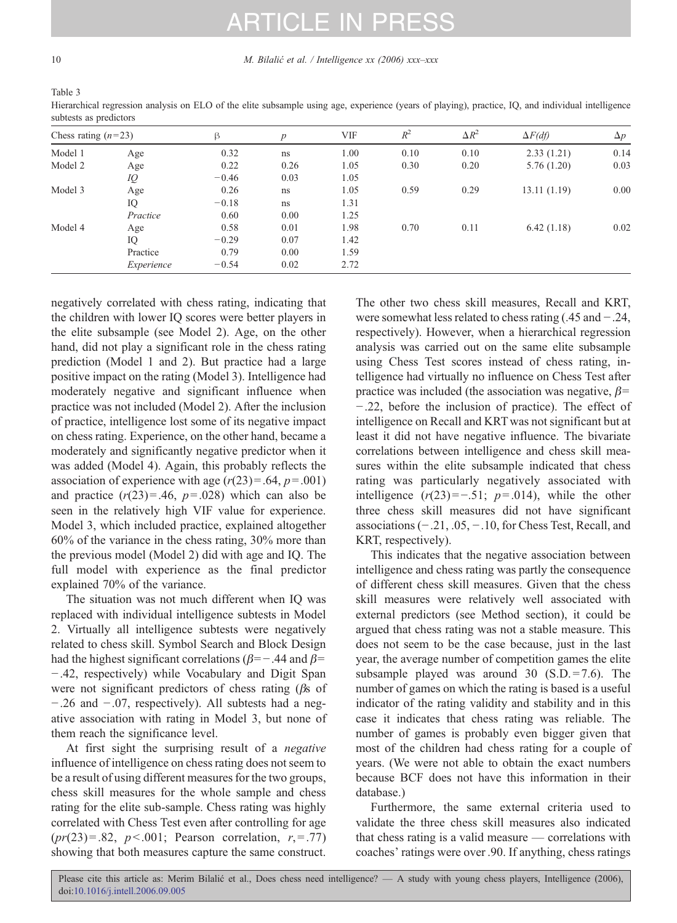Table 3

# ARTICLE IN PRESS

<span id="page-9-0"></span>10 M. Bilalić et al. / Intelligence xx (2006) xxx-xxx

| Therafellow regression analysis on EEO of the entersubsample asing age, experience (fears of playing), placified, reg. and marriagamente<br>subtests as predictors |          |         |      |      |      |              |                |            |  |  |
|--------------------------------------------------------------------------------------------------------------------------------------------------------------------|----------|---------|------|------|------|--------------|----------------|------------|--|--|
| Chess rating $(n=23)$                                                                                                                                              |          |         |      | VIF  |      | $\Delta R^2$ | $\Delta F(df)$ | $\Delta p$ |  |  |
| Model 1                                                                                                                                                            | Age      | 0.32    | ns   | 1.00 | 0.10 | 0.10         | 2.33(1.21)     | 0.14       |  |  |
| Model 2                                                                                                                                                            | Age      | 0.22    | 0.26 | 1.05 | 0.30 | 0.20         | 5.76(1.20)     | 0.03       |  |  |
|                                                                                                                                                                    | IQ       | $-0.46$ | 0.03 | 1.05 |      |              |                |            |  |  |
| Model 3                                                                                                                                                            | Age      | 0.26    | ns   | 1.05 | 0.59 | 0.29         | 13.11(1.19)    | 0.00       |  |  |
|                                                                                                                                                                    | IQ       | $-0.18$ | ns   | 1.31 |      |              |                |            |  |  |
|                                                                                                                                                                    | Practice | 0.60    | 0.00 | 1.25 |      |              |                |            |  |  |

Model 4 Age 6.58 0.01 1.98 0.70 0.11 6.42 (1.18) 0.02

Hierarchical regression analysis on ELO of the elite subsample using age, experience (years of playing), practice, IQ, and individual intelligence

negatively correlated with chess rating, indicating that the children with lower IQ scores were better players in the elite subsample (see Model 2). Age, on the other hand, did not play a significant role in the chess rating prediction (Model 1 and 2). But practice had a large positive impact on the rating (Model 3). Intelligence had moderately negative and significant influence when practice was not included (Model 2). After the inclusion of practice, intelligence lost some of its negative impact on chess rating. Experience, on the other hand, became a moderately and significantly negative predictor when it was added (Model 4). Again, this probably reflects the association of experience with age  $(r(23) = .64, p = .001)$ and practice  $(r(23)=.46, p=.028)$  which can also be seen in the relatively high VIF value for experience. Model 3, which included practice, explained altogether 60% of the variance in the chess rating, 30% more than the previous model (Model 2) did with age and IQ. The full model with experience as the final predictor explained 70% of the variance.

IQ  $-0.29$  0.07 1.42 Practice 0.79 0.00 1.59  $Experience$   $-0.54$   $0.02$   $2.72$ 

The situation was not much different when IQ was replaced with individual intelligence subtests in Model 2. Virtually all intelligence subtests were negatively related to chess skill. Symbol Search and Block Design had the highest significant correlations ( $\beta$ = −.44 and  $\beta$ = −.42, respectively) while Vocabulary and Digit Span were not significant predictors of chess rating (βs of −.26 and −.07, respectively). All subtests had a negative association with rating in Model 3, but none of them reach the significance level.

At first sight the surprising result of a *negative* influence of intelligence on chess rating does not seem to be a result of using different measures for the two groups, chess skill measures for the whole sample and chess rating for the elite sub-sample. Chess rating was highly correlated with Chess Test even after controlling for age  $(pr(23) = .82, p < .001;$  Pearson correlation,  $r, = .77)$ showing that both measures capture the same construct.

The other two chess skill measures, Recall and KRT, were somewhat less related to chess rating (.45 and −.24, respectively). However, when a hierarchical regression analysis was carried out on the same elite subsample using Chess Test scores instead of chess rating, intelligence had virtually no influence on Chess Test after practice was included (the association was negative,  $\beta$ = −.22, before the inclusion of practice). The effect of intelligence on Recall and KRT was not significant but at least it did not have negative influence. The bivariate correlations between intelligence and chess skill measures within the elite subsample indicated that chess rating was particularly negatively associated with intelligence  $(r(23) = -.51; p = .014)$ , while the other three chess skill measures did not have significant associations (−.21, .05, −.10, for Chess Test, Recall, and KRT, respectively).

This indicates that the negative association between intelligence and chess rating was partly the consequence of different chess skill measures. Given that the chess skill measures were relatively well associated with external predictors (see Method section), it could be argued that chess rating was not a stable measure. This does not seem to be the case because, just in the last year, the average number of competition games the elite subsample played was around  $30$  (S.D. = 7.6). The number of games on which the rating is based is a useful indicator of the rating validity and stability and in this case it indicates that chess rating was reliable. The number of games is probably even bigger given that most of the children had chess rating for a couple of years. (We were not able to obtain the exact numbers because BCF does not have this information in their database.)

Furthermore, the same external criteria used to validate the three chess skill measures also indicated that chess rating is a valid measure — correlations with coaches' ratings were over .90. If anything, chess ratings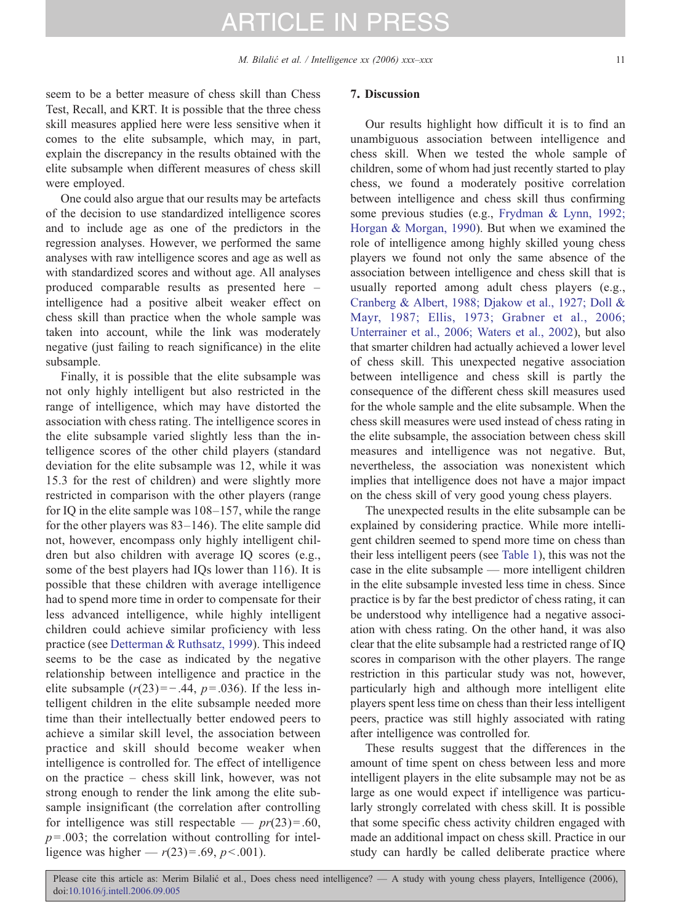seem to be a better measure of chess skill than Chess Test, Recall, and KRT. It is possible that the three chess skill measures applied here were less sensitive when it comes to the elite subsample, which may, in part, explain the discrepancy in the results obtained with the elite subsample when different measures of chess skill were employed.

One could also argue that our results may be artefacts of the decision to use standardized intelligence scores and to include age as one of the predictors in the regression analyses. However, we performed the same analyses with raw intelligence scores and age as well as with standardized scores and without age. All analyses produced comparable results as presented here – intelligence had a positive albeit weaker effect on chess skill than practice when the whole sample was taken into account, while the link was moderately negative (just failing to reach significance) in the elite subsample.

Finally, it is possible that the elite subsample was not only highly intelligent but also restricted in the range of intelligence, which may have distorted the association with chess rating. The intelligence scores in the elite subsample varied slightly less than the intelligence scores of the other child players (standard deviation for the elite subsample was 12, while it was 15.3 for the rest of children) and were slightly more restricted in comparison with the other players (range for IQ in the elite sample was 108–157, while the range for the other players was 83–146). The elite sample did not, however, encompass only highly intelligent children but also children with average IQ scores (e.g., some of the best players had IQs lower than 116). It is possible that these children with average intelligence had to spend more time in order to compensate for their less advanced intelligence, while highly intelligent children could achieve similar proficiency with less practice (see [Detterman & Ruthsatz, 1999](#page-12-0)). This indeed seems to be the case as indicated by the negative relationship between intelligence and practice in the elite subsample  $(r(23) = -.44, p = .036)$ . If the less intelligent children in the elite subsample needed more time than their intellectually better endowed peers to achieve a similar skill level, the association between practice and skill should become weaker when intelligence is controlled for. The effect of intelligence on the practice – chess skill link, however, was not strong enough to render the link among the elite subsample insignificant (the correlation after controlling for intelligence was still respectable —  $pr(23) = .60$ ,  $p = .003$ ; the correlation without controlling for intelligence was higher —  $r(23) = .69, p < .001$ .

### 7. Discussion

Our results highlight how difficult it is to find an unambiguous association between intelligence and chess skill. When we tested the whole sample of children, some of whom had just recently started to play chess, we found a moderately positive correlation between intelligence and chess skill thus confirming some previous studies (e.g., [Frydman & Lynn, 1992;](#page-13-0) [Horgan & Morgan, 1990\)](#page-13-0). But when we examined the role of intelligence among highly skilled young chess players we found not only the same absence of the association between intelligence and chess skill that is usually reported among adult chess players (e.g., [Cranberg & Albert, 1988; Djakow et al., 1927; Doll &](#page-12-0) [Mayr, 1987; Ellis, 1973; Grabner et al., 2006;](#page-12-0) [Unterrainer et al., 2006; Waters et al., 2002](#page-12-0)), but also that smarter children had actually achieved a lower level of chess skill. This unexpected negative association between intelligence and chess skill is partly the consequence of the different chess skill measures used for the whole sample and the elite subsample. When the chess skill measures were used instead of chess rating in the elite subsample, the association between chess skill measures and intelligence was not negative. But, nevertheless, the association was nonexistent which implies that intelligence does not have a major impact on the chess skill of very good young chess players.

The unexpected results in the elite subsample can be explained by considering practice. While more intelligent children seemed to spend more time on chess than their less intelligent peers (see [Table 1](#page-4-0)), this was not the case in the elite subsample — more intelligent children in the elite subsample invested less time in chess. Since practice is by far the best predictor of chess rating, it can be understood why intelligence had a negative association with chess rating. On the other hand, it was also clear that the elite subsample had a restricted range of IQ scores in comparison with the other players. The range restriction in this particular study was not, however, particularly high and although more intelligent elite players spent less time on chess than their less intelligent peers, practice was still highly associated with rating after intelligence was controlled for.

These results suggest that the differences in the amount of time spent on chess between less and more intelligent players in the elite subsample may not be as large as one would expect if intelligence was particularly strongly correlated with chess skill. It is possible that some specific chess activity children engaged with made an additional impact on chess skill. Practice in our study can hardly be called deliberate practice where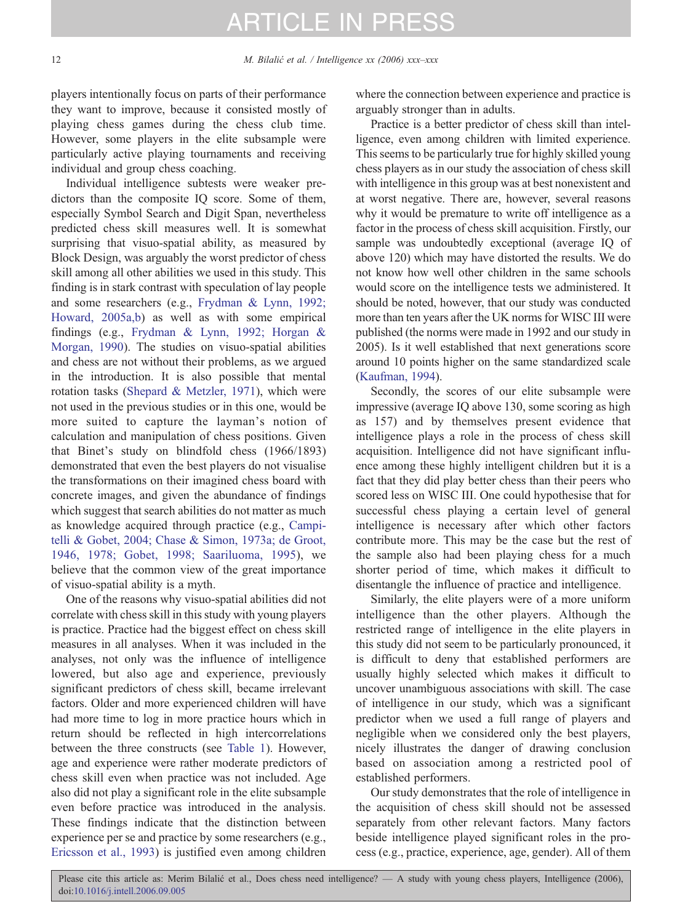players intentionally focus on parts of their performance they want to improve, because it consisted mostly of playing chess games during the chess club time. However, some players in the elite subsample were particularly active playing tournaments and receiving individual and group chess coaching.

Individual intelligence subtests were weaker predictors than the composite IO score. Some of them, especially Symbol Search and Digit Span, nevertheless predicted chess skill measures well. It is somewhat surprising that visuo-spatial ability, as measured by Block Design, was arguably the worst predictor of chess skill among all other abilities we used in this study. This finding is in stark contrast with speculation of lay people and some researchers (e.g., [Frydman & Lynn, 1992;](#page-13-0) [Howard, 2005a,b](#page-13-0)) as well as with some empirical findings (e.g., [Frydman & Lynn, 1992; Horgan &](#page-13-0) [Morgan, 1990](#page-13-0)). The studies on visuo-spatial abilities and chess are not without their problems, as we argued in the introduction. It is also possible that mental rotation tasks [\(Shepard & Metzler, 1971\)](#page-13-0), which were not used in the previous studies or in this one, would be more suited to capture the layman's notion of calculation and manipulation of chess positions. Given that Binet's study on blindfold chess (1966/1893) demonstrated that even the best players do not visualise the transformations on their imagined chess board with concrete images, and given the abundance of findings which suggest that search abilities do not matter as much as knowledge acquired through practice (e.g., [Campi](#page-12-0)[telli & Gobet, 2004; Chase & Simon, 1973a; de Groot,](#page-12-0) [1946, 1978; Gobet, 1998; Saariluoma, 1995](#page-12-0)), we believe that the common view of the great importance of visuo-spatial ability is a myth.

One of the reasons why visuo-spatial abilities did not correlate with chess skill in this study with young players is practice. Practice had the biggest effect on chess skill measures in all analyses. When it was included in the analyses, not only was the influence of intelligence lowered, but also age and experience, previously significant predictors of chess skill, became irrelevant factors. Older and more experienced children will have had more time to log in more practice hours which in return should be reflected in high intercorrelations between the three constructs (see [Table 1\)](#page-4-0). However, age and experience were rather moderate predictors of chess skill even when practice was not included. Age also did not play a significant role in the elite subsample even before practice was introduced in the analysis. These findings indicate that the distinction between experience per se and practice by some researchers (e.g., [Ericsson et al., 1993\)](#page-13-0) is justified even among children

where the connection between experience and practice is arguably stronger than in adults.

Practice is a better predictor of chess skill than intelligence, even among children with limited experience. This seems to be particularly true for highly skilled young chess players as in our study the association of chess skill with intelligence in this group was at best nonexistent and at worst negative. There are, however, several reasons why it would be premature to write off intelligence as a factor in the process of chess skill acquisition. Firstly, our sample was undoubtedly exceptional (average IQ of above 120) which may have distorted the results. We do not know how well other children in the same schools would score on the intelligence tests we administered. It should be noted, however, that our study was conducted more than ten years after the UK norms for WISC III were published (the norms were made in 1992 and our study in 2005). Is it well established that next generations score around 10 points higher on the same standardized scale [\(Kaufman, 1994](#page-13-0)).

Secondly, the scores of our elite subsample were impressive (average IQ above 130, some scoring as high as 157) and by themselves present evidence that intelligence plays a role in the process of chess skill acquisition. Intelligence did not have significant influence among these highly intelligent children but it is a fact that they did play better chess than their peers who scored less on WISC III. One could hypothesise that for successful chess playing a certain level of general intelligence is necessary after which other factors contribute more. This may be the case but the rest of the sample also had been playing chess for a much shorter period of time, which makes it difficult to disentangle the influence of practice and intelligence.

Similarly, the elite players were of a more uniform intelligence than the other players. Although the restricted range of intelligence in the elite players in this study did not seem to be particularly pronounced, it is difficult to deny that established performers are usually highly selected which makes it difficult to uncover unambiguous associations with skill. The case of intelligence in our study, which was a significant predictor when we used a full range of players and negligible when we considered only the best players, nicely illustrates the danger of drawing conclusion based on association among a restricted pool of established performers.

Our study demonstrates that the role of intelligence in the acquisition of chess skill should not be assessed separately from other relevant factors. Many factors beside intelligence played significant roles in the process (e.g., practice, experience, age, gender). All of them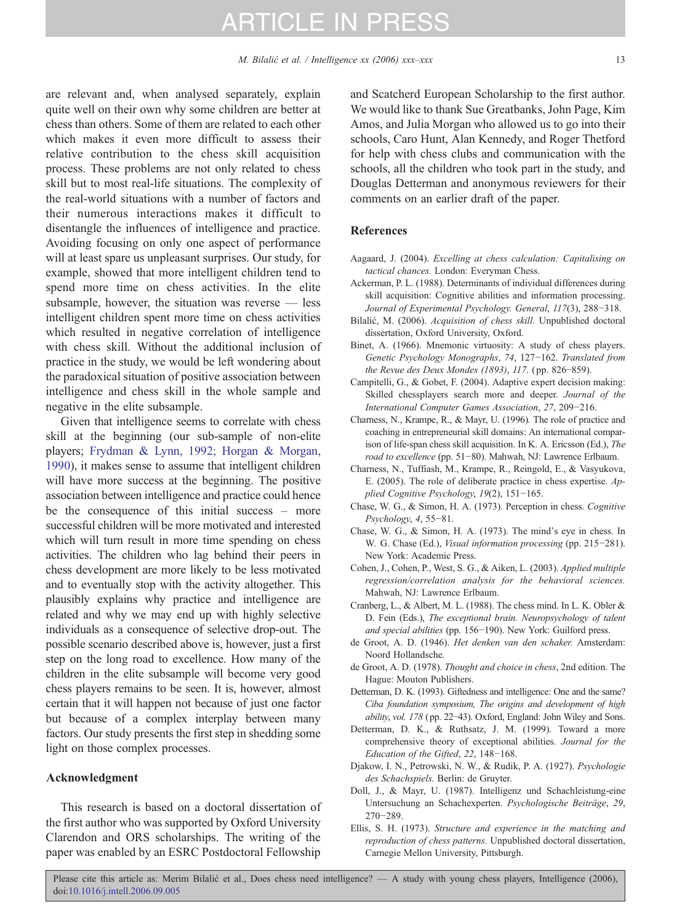<span id="page-12-0"></span>are relevant and, when analysed separately, explain quite well on their own why some children are better at chess than others. Some of them are related to each other which makes it even more difficult to assess their relative contribution to the chess skill acquisition process. These problems are not only related to chess skill but to most real-life situations. The complexity of the real-world situations with a number of factors and their numerous interactions makes it difficult to disentangle the influences of intelligence and practice. Avoiding focusing on only one aspect of performance will at least spare us unpleasant surprises. Our study, for example, showed that more intelligent children tend to spend more time on chess activities. In the elite subsample, however, the situation was reverse — less intelligent children spent more time on chess activities which resulted in negative correlation of intelligence with chess skill. Without the additional inclusion of practice in the study, we would be left wondering about the paradoxical situation of positive association between intelligence and chess skill in the whole sample and negative in the elite subsample.

Given that intelligence seems to correlate with chess skill at the beginning (our sub-sample of non-elite players; [Frydman & Lynn, 1992; Horgan & Morgan,](#page-13-0) [1990](#page-13-0)), it makes sense to assume that intelligent children will have more success at the beginning. The positive association between intelligence and practice could hence be the consequence of this initial success – more successful children will be more motivated and interested which will turn result in more time spending on chess activities. The children who lag behind their peers in chess development are more likely to be less motivated and to eventually stop with the activity altogether. This plausibly explains why practice and intelligence are related and why we may end up with highly selective individuals as a consequence of selective drop-out. The possible scenario described above is, however, just a first step on the long road to excellence. How many of the children in the elite subsample will become very good chess players remains to be seen. It is, however, almost certain that it will happen not because of just one factor but because of a complex interplay between many factors. Our study presents the first step in shedding some light on those complex processes.

#### Acknowledgment

This research is based on a doctoral dissertation of the first author who was supported by Oxford University Clarendon and ORS scholarships. The writing of the paper was enabled by an ESRC Postdoctoral Fellowship

and Scatcherd European Scholarship to the first author. We would like to thank Sue Greatbanks, John Page, Kim Amos, and Julia Morgan who allowed us to go into their schools, Caro Hunt, Alan Kennedy, and Roger Thetford for help with chess clubs and communication with the schools, all the children who took part in the study, and Douglas Detterman and anonymous reviewers for their comments on an earlier draft of the paper.

### References

- Aagaard, J. (2004). Excelling at chess calculation: Capitalising on tactical chances. London: Everyman Chess.
- Ackerman, P. L. (1988). Determinants of individual differences during skill acquisition: Cognitive abilities and information processing. Journal of Experimental Psychology. General, 117(3), 288−318.
- Bilalić, M. (2006). Acquisition of chess skill. Unpublished doctoral dissertation, Oxford University, Oxford.
- Binet, A. (1966). Mnemonic virtuosity: A study of chess players. Genetic Psychology Monographs, 74, 127−162. Translated from the Revue des Deux Mondes (1893), 117. ( pp. 826\_859).
- Campitelli, G., & Gobet, F. (2004). Adaptive expert decision making: Skilled chessplayers search more and deeper. Journal of the International Computer Games Association, 27, 209−216.
- Charness, N., Krampe, R., & Mayr, U. (1996). The role of practice and coaching in entrepreneurial skill domains: An international comparison of life-span chess skill acquisition. In K. A. Ericsson (Ed.), The road to excellence (pp. 51−80). Mahwah, NJ: Lawrence Erlbaum.
- Charness, N., Tuffiash, M., Krampe, R., Reingold, E., & Vasyukova, E. (2005). The role of deliberate practice in chess expertise. Applied Cognitive Psychology, 19(2), 151−165.
- Chase, W. G., & Simon, H. A. (1973). Perception in chess. Cognitive Psychology, 4, 55−81.
- Chase, W. G., & Simon, H. A. (1973). The mind's eye in chess. In W. G. Chase (Ed.), Visual information processing (pp. 215−281). New York: Academic Press.
- Cohen, J., Cohen, P., West, S. G., & Aiken, L. (2003). Applied multiple regression/correlation analysis for the behavioral sciences. Mahwah, NJ: Lawrence Erlbaum.
- Cranberg, L., & Albert, M. L. (1988). The chess mind. In L. K. Obler & D. Fein (Eds.), The exceptional brain. Neuropsychology of talent and special abilities (pp. 156−190). New York: Guilford press.
- de Groot, A. D. (1946). Het denken van den schaker. Amsterdam: Noord Hollandsche.
- de Groot, A. D. (1978). Thought and choice in chess, 2nd edition. The Hague: Mouton Publishers.
- Detterman, D. K. (1993). Giftedness and intelligence: One and the same? Ciba foundation symposium, The origins and development of high ability, vol. 178 (pp. 22-43). Oxford, England: John Wiley and Sons.
- Detterman, D. K., & Ruthsatz, J. M. (1999). Toward a more comprehensive theory of exceptional abilities. Journal for the Education of the Gifted, 22, 148−168.
- Djakow, I. N., Petrowski, N. W., & Rudik, P. A. (1927). Psychologie des Schachspiels. Berlin: de Gruyter.
- Doll, J., & Mayr, U. (1987). Intelligenz und Schachleistung-eine Untersuchung an Schachexperten. Psychologische Beiträge, 29, 270−289.
- Ellis, S. H. (1973). Structure and experience in the matching and reproduction of chess patterns. Unpublished doctoral dissertation, Carnegie Mellon University, Pittsburgh.